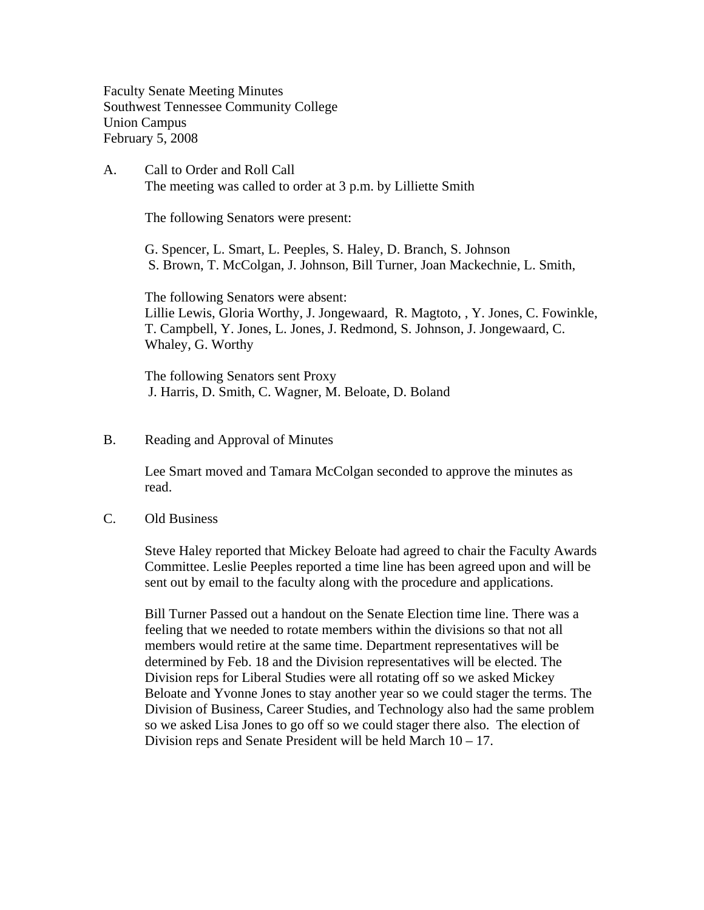Faculty Senate Meeting Minutes Southwest Tennessee Community College Union Campus February 5, 2008

A. Call to Order and Roll Call The meeting was called to order at 3 p.m. by Lilliette Smith

The following Senators were present:

G. Spencer, L. Smart, L. Peeples, S. Haley, D. Branch, S. Johnson S. Brown, T. McColgan, J. Johnson, Bill Turner, Joan Mackechnie, L. Smith,

The following Senators were absent: Lillie Lewis, Gloria Worthy, J. Jongewaard, R. Magtoto, , Y. Jones, C. Fowinkle, T. Campbell, Y. Jones, L. Jones, J. Redmond, S. Johnson, J. Jongewaard, C. Whaley, G. Worthy

The following Senators sent Proxy J. Harris, D. Smith, C. Wagner, M. Beloate, D. Boland

## B. Reading and Approval of Minutes

Lee Smart moved and Tamara McColgan seconded to approve the minutes as read.

## C. Old Business

Steve Haley reported that Mickey Beloate had agreed to chair the Faculty Awards Committee. Leslie Peeples reported a time line has been agreed upon and will be sent out by email to the faculty along with the procedure and applications.

Bill Turner Passed out a handout on the Senate Election time line. There was a feeling that we needed to rotate members within the divisions so that not all members would retire at the same time. Department representatives will be determined by Feb. 18 and the Division representatives will be elected. The Division reps for Liberal Studies were all rotating off so we asked Mickey Beloate and Yvonne Jones to stay another year so we could stager the terms. The Division of Business, Career Studies, and Technology also had the same problem so we asked Lisa Jones to go off so we could stager there also. The election of Division reps and Senate President will be held March 10 – 17.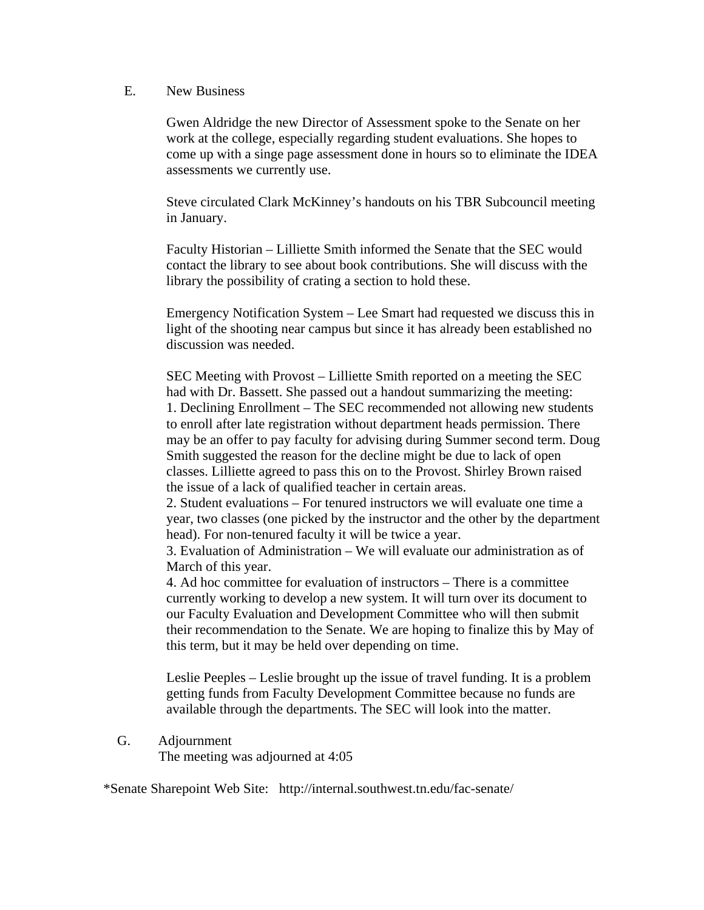## E. New Business

Gwen Aldridge the new Director of Assessment spoke to the Senate on her work at the college, especially regarding student evaluations. She hopes to come up with a singe page assessment done in hours so to eliminate the IDEA assessments we currently use.

Steve circulated Clark McKinney's handouts on his TBR Subcouncil meeting in January.

Faculty Historian – Lilliette Smith informed the Senate that the SEC would contact the library to see about book contributions. She will discuss with the library the possibility of crating a section to hold these.

Emergency Notification System – Lee Smart had requested we discuss this in light of the shooting near campus but since it has already been established no discussion was needed.

SEC Meeting with Provost – Lilliette Smith reported on a meeting the SEC had with Dr. Bassett. She passed out a handout summarizing the meeting: 1. Declining Enrollment – The SEC recommended not allowing new students to enroll after late registration without department heads permission. There may be an offer to pay faculty for advising during Summer second term. Doug Smith suggested the reason for the decline might be due to lack of open classes. Lilliette agreed to pass this on to the Provost. Shirley Brown raised the issue of a lack of qualified teacher in certain areas.

2. Student evaluations – For tenured instructors we will evaluate one time a year, two classes (one picked by the instructor and the other by the department head). For non-tenured faculty it will be twice a year.

3. Evaluation of Administration – We will evaluate our administration as of March of this year.

4. Ad hoc committee for evaluation of instructors – There is a committee currently working to develop a new system. It will turn over its document to our Faculty Evaluation and Development Committee who will then submit their recommendation to the Senate. We are hoping to finalize this by May of this term, but it may be held over depending on time.

Leslie Peeples – Leslie brought up the issue of travel funding. It is a problem getting funds from Faculty Development Committee because no funds are available through the departments. The SEC will look into the matter.

G. Adjournment

The meeting was adjourned at 4:05

\*Senate Sharepoint Web Site: http://internal.southwest.tn.edu/fac-senate/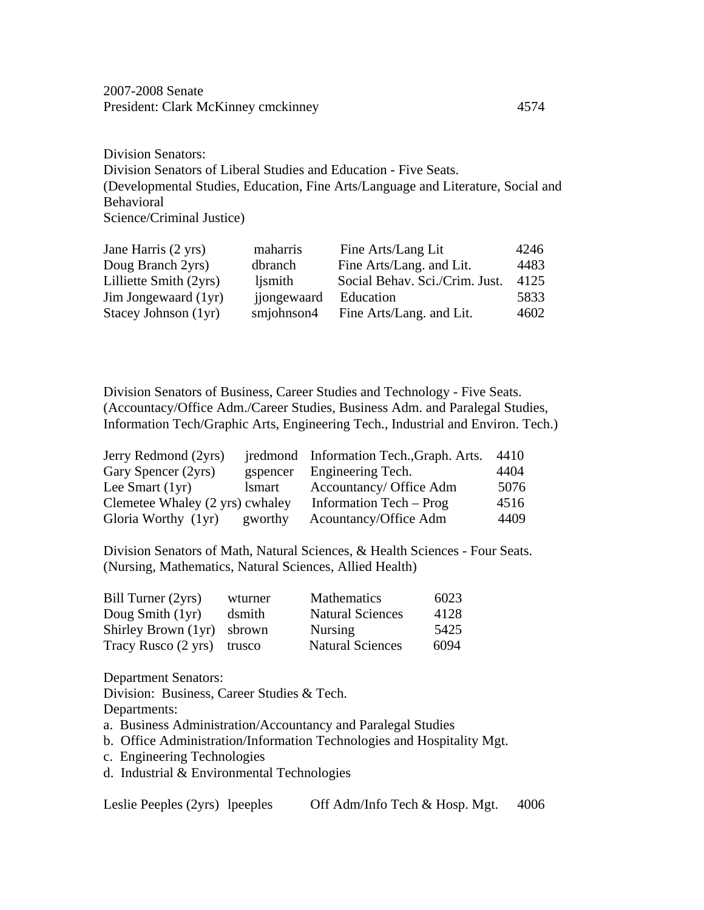2007-2008 Senate President: Clark McKinney cmckinney 4574

Division Senators: Division Senators of Liberal Studies and Education - Five Seats. (Developmental Studies, Education, Fine Arts/Language and Literature, Social and Behavioral Science/Criminal Justice)

| Jane Harris (2 yrs)    | maharris    | Fine Arts/Lang Lit             | 4246 |
|------------------------|-------------|--------------------------------|------|
| Doug Branch 2yrs)      | dbranch     | Fine Arts/Lang. and Lit.       | 4483 |
| Lilliette Smith (2yrs) | ljsmith     | Social Behav. Sci./Crim. Just. | 4125 |
| Jim Jongewaard (1yr)   | jjongewaard | Education                      | 5833 |
| Stacey Johnson (1yr)   | smjohnson4  | Fine Arts/Lang. and Lit.       | 4602 |

Division Senators of Business, Career Studies and Technology - Five Seats. (Accountacy/Office Adm./Career Studies, Business Adm. and Paralegal Studies, Information Tech/Graphic Arts, Engineering Tech., Industrial and Environ. Tech.)

| Jerry Redmond (2yrs)            |               | iredmond Information Tech., Graph. Arts. | 4410 |
|---------------------------------|---------------|------------------------------------------|------|
| Gary Spencer (2yrs)             |               | gspencer Engineering Tech.               | 4404 |
| Lee Smart $(1yr)$               | <i>lsmart</i> | Accountancy/ Office Adm                  | 5076 |
| Clemetee Whaley (2 yrs) cwhaley |               | Information Tech – Prog                  | 4516 |
| Gloria Worthy (1yr)             | gworthy       | Acountancy/Office Adm                    | 4409 |

Division Senators of Math, Natural Sciences, & Health Sciences - Four Seats. (Nursing, Mathematics, Natural Sciences, Allied Health)

| Bill Turner (2yrs)  | wturner | Mathematics             | 6023 |
|---------------------|---------|-------------------------|------|
| Doug Smith $(1yr)$  | dsmith  | <b>Natural Sciences</b> | 4128 |
| Shirley Brown (1yr) | sbrown  | <b>Nursing</b>          | 5425 |
| Tracy Rusco (2 yrs) | trusco  | <b>Natural Sciences</b> | 6094 |

Department Senators:

Division: Business, Career Studies & Tech.

Departments:

- a. Business Administration/Accountancy and Paralegal Studies
- b. Office Administration/Information Technologies and Hospitality Mgt.
- c. Engineering Technologies
- d. Industrial & Environmental Technologies

```
Leslie Peeples (2yrs) lpeeples Off Adm/Info Tech & Hosp. Mgt. 4006
```